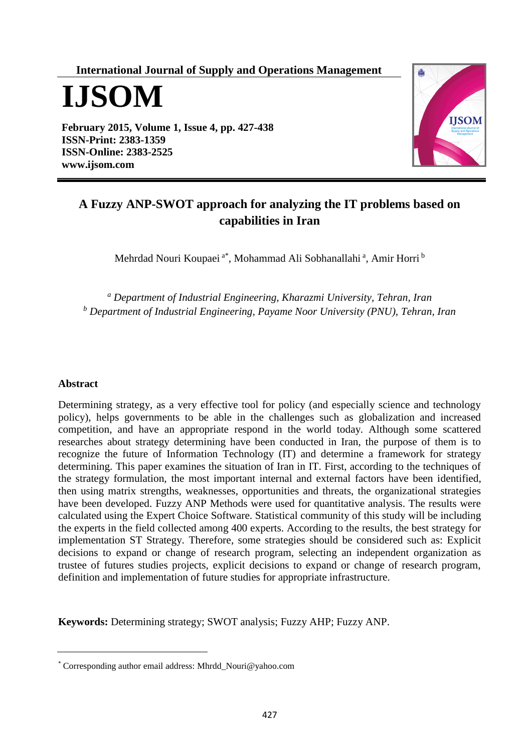**International Journal of Supply and Operations Management**

**IJSOM**

**February 2015, Volume 1, Issue 4, pp. 427-438 ISSN-Print: 2383-1359 ISSN-Online: 2383-2525 [www.ijsom.com](http://www.ijsom.com/)**



# **A Fuzzy ANP-SWOT approach for analyzing the IT problems based on capabilities in Iran**

Mehrdad Nouri Koupaei<sup>a\*</sup>, Mohammad Ali Sobhanallahi<sup>a</sup>, Amir Horri<sup>b</sup>

*<sup>a</sup> Department of Industrial Engineering, Kharazmi University, Tehran, Iran <sup>b</sup> Department of Industrial Engineering, Payame Noor University (PNU), Tehran, Iran*

# **Abstract**

Determining strategy, as a very effective tool for policy (and especially science and technology policy), helps governments to be able in the challenges such as globalization and increased competition, and have an appropriate respond in the world today. Although some scattered researches about strategy determining have been conducted in Iran, the purpose of them is to recognize the future of Information Technology (IT) and determine a framework for strategy determining. This paper examines the situation of Iran in IT. First, according to the techniques of the strategy formulation, the most important internal and external factors have been identified, then using matrix strengths, weaknesses, opportunities and threats, the organizational strategies have been developed. Fuzzy ANP Methods were used for quantitative analysis. The results were calculated using the Expert Choice Software. Statistical community of this study will be including the experts in the field collected among 400 experts. According to the results, the best strategy for implementation ST Strategy. Therefore, some strategies should be considered such as: Explicit decisions to expand or change of research program, selecting an independent organization as trustee of futures studies projects, explicit decisions to expand or change of research program, definition and implementation of future studies for appropriate infrastructure.

**Keywords:** Determining strategy; SWOT analysis; Fuzzy AHP; Fuzzy ANP.

<sup>\*</sup> Corresponding author email address[: Mhrdd\\_Nouri@yahoo.com](mailto:Mhrdd_Nouri@yahoo.com)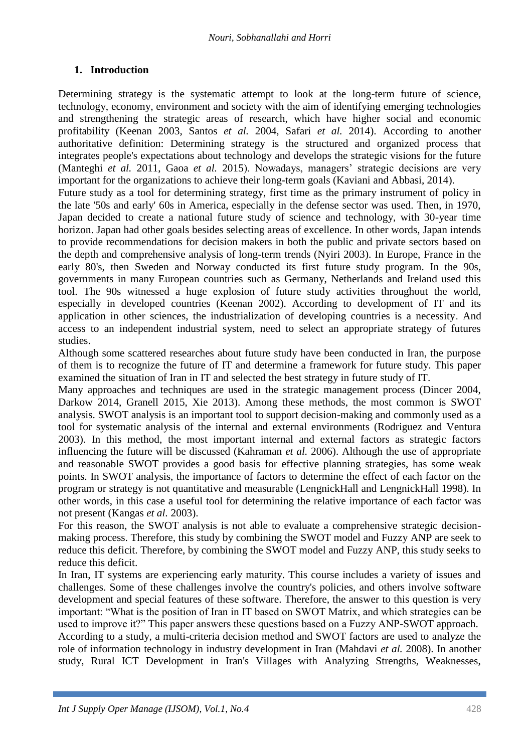# **1. Introduction**

Determining strategy is the systematic attempt to look at the long-term future of science, technology, economy, environment and society with the aim of identifying emerging technologies and strengthening the strategic areas of research, which have higher social and economic profitability (Keenan 2003, Santos *et al.* 2004, Safari *et al.* 2014). According to another authoritative definition: Determining strategy is the structured and organized process that integrates people's expectations about technology and develops the strategic visions for the future (Manteghi *et al.* 2011, Gaoa *et al.* 2015). Nowadays, managers' strategic decisions are very important for the organizations to achieve their long-term goals (Kaviani and Abbasi, 2014).

Future study as a tool for determining strategy, first time as the primary instrument of policy in the late '50s and early' 60s in America, especially in the defense sector was used. Then, in 1970, Japan decided to create a national future study of science and technology, with 30-year time horizon. Japan had other goals besides selecting areas of excellence. In other words, Japan intends to provide recommendations for decision makers in both the public and private sectors based on the depth and comprehensive analysis of long-term trends (Nyiri 2003). In Europe, France in the early 80's, then Sweden and Norway conducted its first future study program. In the 90s, governments in many European countries such as Germany, Netherlands and Ireland used this tool. The 90s witnessed a huge explosion of future study activities throughout the world, especially in developed countries (Keenan 2002). According to development of IT and its application in other sciences, the industrialization of developing countries is a necessity. And access to an independent industrial system, need to select an appropriate strategy of futures studies.

Although some scattered researches about future study have been conducted in Iran, the purpose of them is to recognize the future of IT and determine a framework for future study. This paper examined the situation of Iran in IT and selected the best strategy in future study of IT.

Many approaches and techniques are used in the strategic management process (Dincer 2004, Darkow 2014, Granell 2015, Xie 2013). Among these methods, the most common is SWOT analysis. SWOT analysis is an important tool to support decision-making and commonly used as a tool for systematic analysis of the internal and external environments (Rodriguez and Ventura 2003). In this method, the most important internal and external factors as strategic factors influencing the future will be discussed (Kahraman *et al.* 2006). Although the use of appropriate and reasonable SWOT provides a good basis for effective planning strategies, has some weak points. In SWOT analysis, the importance of factors to determine the effect of each factor on the program or strategy is not quantitative and measurable (LengnickHall and LengnickHall 1998). In other words, in this case a useful tool for determining the relative importance of each factor was not present (Kangas *et al.* 2003).

For this reason, the SWOT analysis is not able to evaluate a comprehensive strategic decisionmaking process. Therefore, this study by combining the SWOT model and Fuzzy ANP are seek to reduce this deficit. Therefore, by combining the SWOT model and Fuzzy ANP, this study seeks to reduce this deficit.

In Iran, IT systems are experiencing early maturity. This course includes a variety of issues and challenges. Some of these challenges involve the country's policies, and others involve software development and special features of these software. Therefore, the answer to this question is very important: "What is the position of Iran in IT based on SWOT Matrix, and which strategies can be used to improve it?" This paper answers these questions based on a Fuzzy ANP-SWOT approach. According to a study, a multi-criteria decision method and SWOT factors are used to analyze the role of information technology in industry development in Iran (Mahdavi *et al.* 2008). In another study, Rural ICT Development in Iran's Villages with Analyzing Strengths, Weaknesses,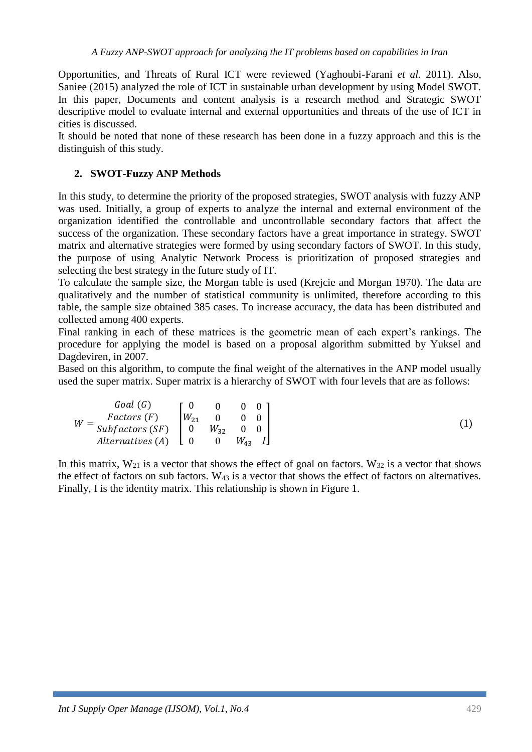Opportunities, and Threats of Rural ICT were reviewed (Yaghoubi-Farani *et al.* 2011). Also, Saniee (2015) analyzed the role of ICT in sustainable urban development by using Model SWOT. In this paper, Documents and content analysis is a research method and Strategic SWOT descriptive model to evaluate internal and external opportunities and threats of the use of ICT in cities is discussed.

It should be noted that none of these research has been done in a fuzzy approach and this is the distinguish of this study.

# **2. SWOT-Fuzzy ANP Methods**

In this study, to determine the priority of the proposed strategies, SWOT analysis with fuzzy ANP was used. Initially, a group of experts to analyze the internal and external environment of the organization identified the controllable and uncontrollable secondary factors that affect the success of the organization. These secondary factors have a great importance in strategy. SWOT matrix and alternative strategies were formed by using secondary factors of SWOT. In this study, the purpose of using Analytic Network Process is prioritization of proposed strategies and selecting the best strategy in the future study of IT.

To calculate the sample size, the Morgan table is used (Krejcie and Morgan 1970). The data are qualitatively and the number of statistical community is unlimited, therefore according to this table, the sample size obtained 385 cases. To increase accuracy, the data has been distributed and collected among 400 experts.

Final ranking in each of these matrices is the geometric mean of each expert's rankings. The procedure for applying the model is based on a proposal algorithm submitted by Yuksel and Dagdeviren, in 2007.

Based on this algorithm, to compute the final weight of the alternatives in the ANP model usually used the super matrix. Super matrix is a hierarchy of SWOT with four levels that are as follows:

|   | Goal(G)                |          |          |          |  |
|---|------------------------|----------|----------|----------|--|
| W | Factors(F)             | $W_{21}$ |          |          |  |
|   | $Subfactors(SF)$ 0     |          | $W_{32}$ |          |  |
|   | Alternatives $(A)$ [ 0 |          |          | $W_{43}$ |  |

In this matrix,  $W_{21}$  is a vector that shows the effect of goal on factors.  $W_{32}$  is a vector that shows the effect of factors on sub factors. W<sup>43</sup> is a vector that shows the effect of factors on alternatives. Finally, I is the identity matrix. This relationship is shown in Figure 1.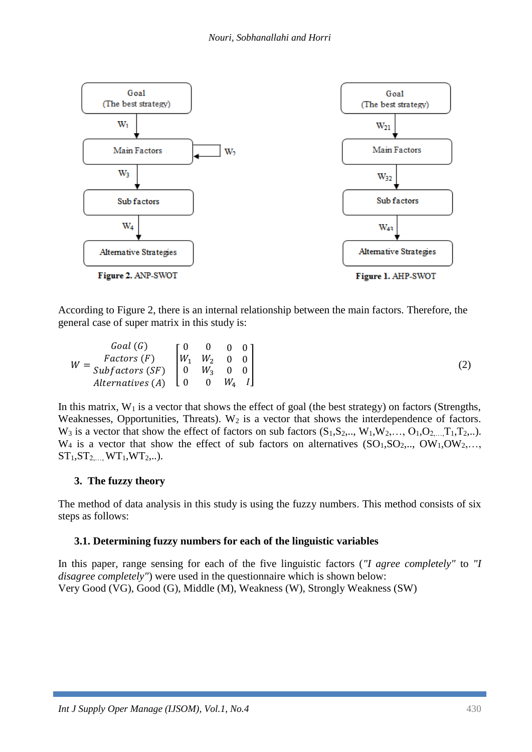

According to Figure 2, there is an internal relationship between the main factors. Therefore, the general case of super matrix in this study is:

| Goal(G)                                                                                    | <u>г</u> ()                                       | $\begin{array}{ccc} & & 0 \end{array}$ |                               |  |
|--------------------------------------------------------------------------------------------|---------------------------------------------------|----------------------------------------|-------------------------------|--|
| Factors(F)                                                                                 | $\begin{bmatrix} W_1 & W_2 & 0 & 0 \end{bmatrix}$ |                                        |                               |  |
| $W = \frac{r u t u x}{s u b factors (SF)}$ $\begin{bmatrix} 0 & W_3 & 0 & 0 \end{bmatrix}$ |                                                   |                                        |                               |  |
| Alternatives $(A)$ $\downarrow$ 0                                                          |                                                   | $\overline{\mathbf{0}}$                | $W_{\rm\scriptscriptstyle A}$ |  |

In this matrix,  $W_1$  is a vector that shows the effect of goal (the best strategy) on factors (Strengths, Weaknesses, Opportunities, Threats). W<sub>2</sub> is a vector that shows the interdependence of factors.  $W_3$  is a vector that show the effect of factors on sub factors  $(S_1, S_2, \ldots, W_1, W_2, \ldots, O_1, O_2, \ldots, T_1, T_2, \ldots)$ .  $W_4$  is a vector that show the effect of sub factors on alternatives  $(SO_1, SO_2, \ldots, OW_1, OW_2, \ldots)$  $ST_1, ST_2,..., WT_1, WT_2...$ 

# **3. The fuzzy theory**

The method of data analysis in this study is using the fuzzy numbers. This method consists of six steps as follows:

# **3.1. Determining fuzzy numbers for each of the linguistic variables**

In this paper, range sensing for each of the five linguistic factors (*"I agree completely"* to *"I disagree completely"*) were used in the questionnaire which is shown below: Very Good (VG), Good (G), Middle (M), Weakness (W), Strongly Weakness (SW)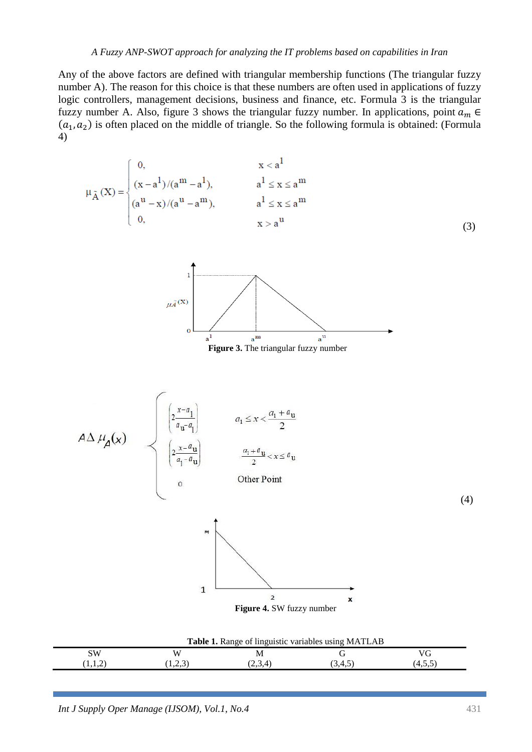#### *A Fuzzy ANP-SWOT approach for analyzing the IT problems based on capabilities in Iran*

Any of the above factors are defined with triangular membership functions (The triangular fuzzy number A). The reason for this choice is that these numbers are often used in applications of fuzzy logic controllers, management decisions, business and finance, etc. Formula 3 is the triangular fuzzy number A. Also, figure 3 shows the triangular fuzzy number. In applications, point  $a_m \in$  $(a_1, a_2)$  is often placed on the middle of triangle. So the following formula is obtained: (Formula 4)

$$
\mu_{\tilde{A}}(X) = \begin{cases}\n0, & x < a^1 \\
(x - a^1)/(a^m - a^1), & a^1 \le x \le a^m \\
(a^u - x)/(a^u - a^m), & a^1 \le x \le a^m \\
0, & x > a^u\n\end{cases}
$$
\n(3)



**Figure 3.** The triangular fuzzy number

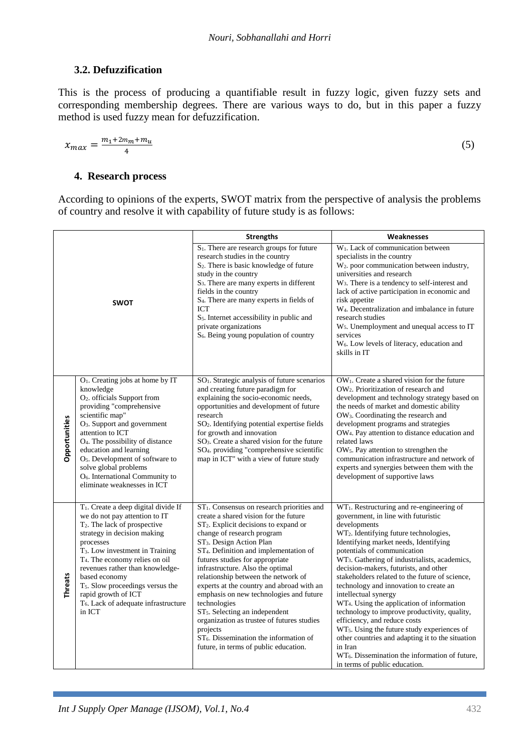# **3.2. Defuzzification**

This is the process of producing a quantifiable result in fuzzy logic, given fuzzy sets and corresponding membership degrees. There are various ways to do, but in this paper a fuzzy method is used fuzzy mean for defuzzification.

$$
x_{max} = \frac{m_1 + 2m_m + m_u}{4} \tag{5}
$$

#### **4. Research process**

According to opinions of the experts, SWOT matrix from the perspective of analysis the problems of country and resolve it with capability of future study is as follows:

|                |                                                                                                                                                                                                                                                                                                                                                                                                                                                        | <b>Strengths</b>                                                                                                                                                                                                                                                                                                                                                                                                                                                                                                                                                                                                                                                                          | Weaknesses                                                                                                                                                                                                                                                                                                                                                                                                                                                                                                                                                                                                                                                                                                                                                                                                                              |
|----------------|--------------------------------------------------------------------------------------------------------------------------------------------------------------------------------------------------------------------------------------------------------------------------------------------------------------------------------------------------------------------------------------------------------------------------------------------------------|-------------------------------------------------------------------------------------------------------------------------------------------------------------------------------------------------------------------------------------------------------------------------------------------------------------------------------------------------------------------------------------------------------------------------------------------------------------------------------------------------------------------------------------------------------------------------------------------------------------------------------------------------------------------------------------------|-----------------------------------------------------------------------------------------------------------------------------------------------------------------------------------------------------------------------------------------------------------------------------------------------------------------------------------------------------------------------------------------------------------------------------------------------------------------------------------------------------------------------------------------------------------------------------------------------------------------------------------------------------------------------------------------------------------------------------------------------------------------------------------------------------------------------------------------|
| <b>SWOT</b>    |                                                                                                                                                                                                                                                                                                                                                                                                                                                        | S <sub>1</sub> . There are research groups for future<br>research studies in the country<br>S <sub>2</sub> . There is basic knowledge of future<br>study in the country<br>S <sub>3</sub> . There are many experts in different<br>fields in the country<br>S <sub>4</sub> . There are many experts in fields of<br>ICT<br>$S5$ . Internet accessibility in public and<br>private organizations<br>S <sub>6</sub> . Being young population of country                                                                                                                                                                                                                                     | W <sub>1</sub> . Lack of communication between<br>specialists in the country<br>W <sub>2</sub> . poor communication between industry,<br>universities and research<br>$W_3$ . There is a tendency to self-interest and<br>lack of active participation in economic and<br>risk appetite<br>W <sub>4</sub> . Decentralization and imbalance in future<br>research studies<br>W <sub>5</sub> . Unemployment and unequal access to IT<br>services<br>W <sub>6</sub> . Low levels of literacy, education and<br>skills in IT                                                                                                                                                                                                                                                                                                                |
| Opportunities  | $O1$ . Creating jobs at home by IT<br>knowledge<br>O <sub>2</sub> . officials Support from<br>providing "comprehensive<br>scientific map"<br>O <sub>3</sub> . Support and government<br>attention to ICT<br>O <sub>4</sub> . The possibility of distance<br>education and learning<br>O <sub>5</sub> . Development of software to<br>solve global problems<br>O <sub>6</sub> . International Community to<br>eliminate weaknesses in ICT               | SO <sub>1</sub> . Strategic analysis of future scenarios<br>and creating future paradigm for<br>explaining the socio-economic needs,<br>opportunities and development of future<br>research<br>SO <sub>2</sub> . Identifying potential expertise fields<br>for growth and innovation<br>SO <sub>3</sub> . Create a shared vision for the future<br>SO <sub>4</sub> . providing "comprehensive scientific<br>map in ICT" with a view of future study                                                                                                                                                                                                                                       | OW <sub>1</sub> . Create a shared vision for the future<br>OW <sub>2</sub> . Prioritization of research and<br>development and technology strategy based on<br>the needs of market and domestic ability<br>OW <sub>3</sub> . Coordinating the research and<br>development programs and strategies<br>OW <sub>4</sub> . Pay attention to distance education and<br>related laws<br>OW <sub>5</sub> . Pay attention to strengthen the<br>communication infrastructure and network of<br>experts and synergies between them with the<br>development of supportive laws                                                                                                                                                                                                                                                                     |
| <b>Threats</b> | T <sub>1</sub> . Create a deep digital divide If<br>we do not pay attention to IT<br>$T_2$ . The lack of prospective<br>strategy in decision making<br>processes<br>T <sub>3</sub> . Low investment in Training<br>T <sub>4</sub> . The economy relies on oil<br>revenues rather than knowledge-<br>based economy<br>T <sub>5</sub> . Slow proceedings versus the<br>rapid growth of ICT<br>T <sub>6</sub> . Lack of adequate infrastructure<br>in ICT | ST <sub>1</sub> . Consensus on research priorities and<br>create a shared vision for the future<br>$ST2$ . Explicit decisions to expand or<br>change of research program<br>ST <sub>3</sub> . Design Action Plan<br>ST <sub>4</sub> . Definition and implementation of<br>futures studies for appropriate<br>infrastructure. Also the optimal<br>relationship between the network of<br>experts at the country and abroad with an<br>emphasis on new technologies and future<br>technologies<br>ST <sub>5</sub> . Selecting an independent<br>organization as trustee of futures studies<br>projects<br>$ST6$ . Dissemination the information of<br>future, in terms of public education. | WT <sub>1</sub> . Restructuring and re-engineering of<br>government, in line with futuristic<br>developments<br>WT <sub>2</sub> . Identifying future technologies,<br>Identifying market needs, Identifying<br>potentials of communication<br>WT <sub>3</sub> . Gathering of industrialists, academics,<br>decision-makers, futurists, and other<br>stakeholders related to the future of science,<br>technology and innovation to create an<br>intellectual synergy<br>WT <sub>4</sub> . Using the application of information<br>technology to improve productivity, quality,<br>efficiency, and reduce costs<br>WT <sub>5</sub> . Using the future study experiences of<br>other countries and adapting it to the situation<br>in Iran<br>WT <sub>6</sub> . Dissemination the information of future,<br>in terms of public education. |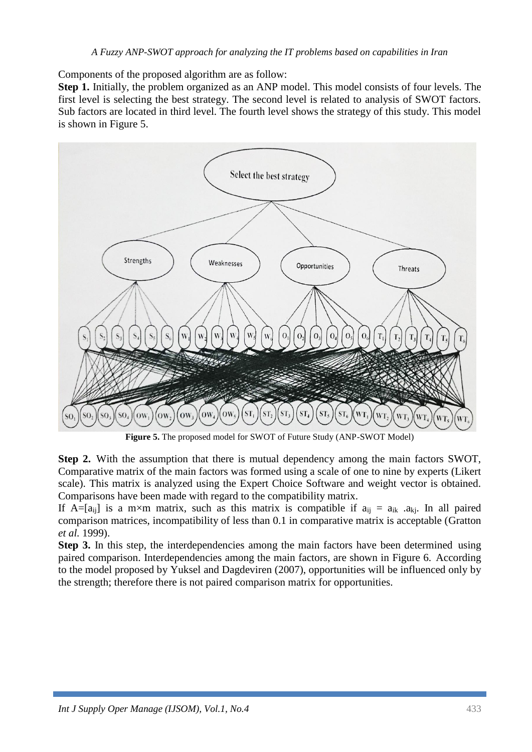Components of the proposed algorithm are as follow:

**Step 1.** Initially, the problem organized as an ANP model. This model consists of four levels. The first level is selecting the best strategy. The second level is related to analysis of SWOT factors. Sub factors are located in third level. The fourth level shows the strategy of this study. This model is shown in Figure 5.



**Figure 5.** The proposed model for SWOT of Future Study (ANP-SWOT Model)

**Step 2.** With the assumption that there is mutual dependency among the main factors SWOT, Comparative matrix of the main factors was formed using a scale of one to nine by experts (Likert scale). This matrix is analyzed using the Expert Choice Software and weight vector is obtained. Comparisons have been made with regard to the compatibility matrix.

If A=[a<sub>ij</sub>] is a m×m matrix, such as this matrix is compatible if  $a_{ii} = a_{ik}$  .a<sub>kj</sub>. In all paired comparison matrices, incompatibility of less than 0.1 in comparative matrix is acceptable (Gratton *et al.* 1999).

**Step 3.** In this step, the interdependencies among the main factors have been determined using paired comparison. Interdependencies among the main factors, are shown in Figure 6. According to the model proposed by Yuksel and Dagdeviren (2007), opportunities will be influenced only by the strength; therefore there is not paired comparison matrix for opportunities.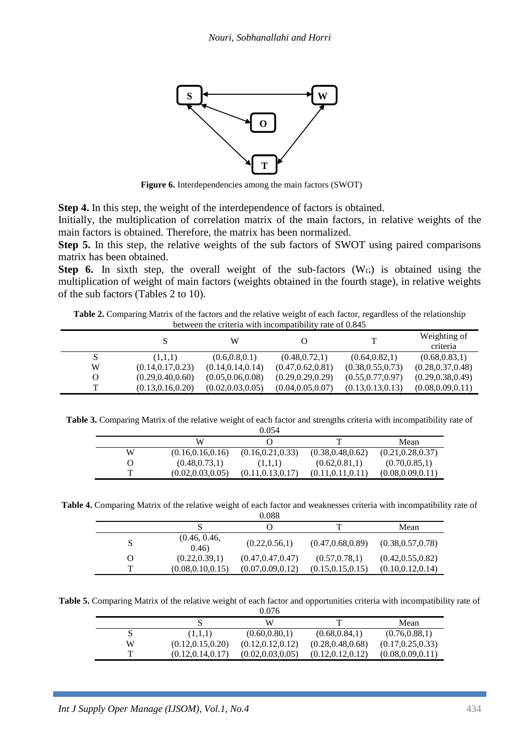

**Figure 6.** Interdependencies among the main factors (SWOT)

**Step 4.** In this step, the weight of the interdependence of factors is obtained.

Initially, the multiplication of correlation matrix of the main factors, in relative weights of the main factors is obtained. Therefore, the matrix has been normalized.

**Step 5.** In this step, the relative weights of the sub factors of SWOT using paired comparisons matrix has been obtained.

**Step 6.** In sixth step, the overall weight of the sub-factors (W<sub>G</sub>) is obtained using the multiplication of weight of main factors (weights obtained in the fourth stage), in relative weights of the sub factors (Tables 2 to 10).

**Table 2.** Comparing Matrix of the factors and the relative weight of each factor, regardless of the relationship between the criteria with incompatibility rate of 0.845

|   | S                  | W                  |                    | т                  | Weighting of<br>criteria |
|---|--------------------|--------------------|--------------------|--------------------|--------------------------|
|   | (1,1,1)            | (0.6, 0.8, 0.1)    | (0.48, 0.72, 1)    | (0.64, 0.82, 1)    | (0.68, 0.83, 1)          |
| W | (0.14, 0.17, 0.23) | (0.14, 0.14, 0.14) | (0.47, 0.62, 0.81) | (0.38, 0.55, 0.73) | (0.28, 0.37, 0.48)       |
| O | (0.29, 0.40, 0.60) | (0.05, 0.06, 0.08) | (0.29, 0.29, 0.29) | (0.55, 0.77, 0.97) | (0.29, 0.38, 0.49)       |
| т | (0.13, 0.16, 0.20) | (0.02, 0.03, 0.05) | (0.04, 0.05, 0.07) | (0.13, 0.13, 0.13) | (0.08, 0.09, 0.11)       |

**Table 3.** Comparing Matrix of the relative weight of each factor and strengths criteria with incompatibility rate of

|   |                    | 0.054              |                    |                    |
|---|--------------------|--------------------|--------------------|--------------------|
|   | W                  |                    |                    | Mean               |
| W | (0.16, 0.16, 0.16) | (0.16, 0.21, 0.33) | (0.38, 0.48, 0.62) | (0.21, 0.28, 0.37) |
|   | (0.48, 0.73, 1)    | (1,1,1)            | (0.62, 0.81, 1)    | (0.70, 0.85, 1)    |
| ௱ | (0.02, 0.03, 0.05) | (0.11, 0.13, 0.17) | (0.11, 0.11, 0.11) | (0.08, 0.09, 0.11) |

**Table 4.** Comparing Matrix of the relative weight of each factor and weaknesses criteria with incompatibility rate of

|              |                        | 0.088              |                    |                    |
|--------------|------------------------|--------------------|--------------------|--------------------|
|              |                        |                    |                    | Mean               |
|              | (0.46, 0.46,<br>(0.46) | (0.22, 0.56, 1)    | (0.47, 0.68, 0.89) | (0.38, 0.57, 0.78) |
| $\Omega$     | (0.22, 0.39, 1)        | (0.47, 0.47, 0.47) | (0.57, 0.78, 1)    | (0.42, 0.55, 0.82) |
| $\mathbf{T}$ | (0.08, 0.10, 0.15)     | (0.07, 0.09, 0.12) | (0.15, 0.15, 0.15) | (0.10, 0.12, 0.14) |

**Table 5.** Comparing Matrix of the relative weight of each factor and opportunities criteria with incompatibility rate of

|   |                    | 0.076              |                    |                    |
|---|--------------------|--------------------|--------------------|--------------------|
|   |                    | W                  | ௱                  | Mean               |
|   | (1,1,1)            | (0.60, 0.80, 1)    | (0.68, 0.84, 1)    | (0.76, 0.88, 1)    |
| W | (0.12, 0.15, 0.20) | (0.12, 0.12, 0.12) | (0.28, 0.48, 0.68) | (0.17, 0.25, 0.33) |
| ᅲ | (0.12, 0.14, 0.17) | (0.02, 0.03, 0.05) | (0.12, 0.12, 0.12) | (0.08, 0.09, 0.11) |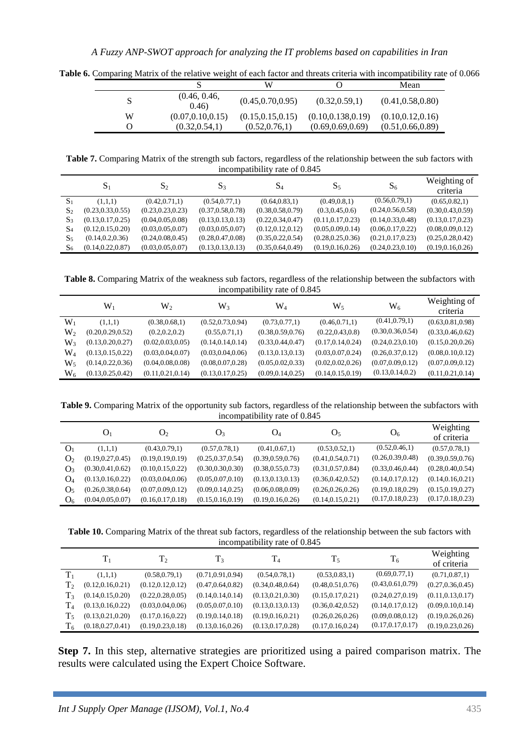|   |                        | W                  |                     | Mean               |
|---|------------------------|--------------------|---------------------|--------------------|
|   | (0.46, 0.46,<br>(0.46) | (0.45, 0.70, 0.95) | (0.32, 0.59, 1)     | (0.41, 0.58, 0.80) |
| W | (0.07, 0.10, 0.15)     | (0.15, 0.15, 0.15) | (0.10, 0.138, 0.19) | (0.10, 0.12, 0.16) |
|   | (0.32, 0.54, 1)        | (0.52, 0.76, 1)    | (0.69, 0.69, 0.69)  | (0.51, 0.66, 0.89) |

**Table 6.** Comparing Matrix of the relative weight of each factor and threats criteria with incompatibility rate of 0.066

**Table 7.** Comparing Matrix of the strength sub factors, regardless of the relationship between the sub factors with incompatibility rate of 0.845

|                | $S_1$              | $S_2$              | S <sub>3</sub>     | $S_4$              | $S_5$              | $S_6$              | Weighting of<br>criteria |
|----------------|--------------------|--------------------|--------------------|--------------------|--------------------|--------------------|--------------------------|
| S <sub>1</sub> | (1,1,1)            | (0.42, 0.71, 1)    | (0.54, 0.77, 1)    | (0.64, 0.83, 1)    | (0.49, 0.8, 1)     | (0.56, 0.79, 1)    | (0.65, 0.82, 1)          |
| S <sub>2</sub> | (0.23, 0.33, 0.55) | (0.23, 0.23, 0.23) | (0.37, 0.58, 0.78) | (0.38, 0.58, 0.79) | (0.3, 0.45, 0.6)   | (0.24, 0.56, 0.58) | (0.30, 0.43, 0.59)       |
| $S_3$          | (0.13, 0.17, 0.25) | (0.04, 0.05, 0.08) | (0.13, 0.13, 0.13) | (0.22, 0.34, 0.47) | (0.11, 0.17, 0.23) | (0.14, 0.33, 0.48) | (0.13, 0.17, 0.23)       |
| S <sub>4</sub> | (0.12, 0.15, 0.20) | (0.03, 0.05, 0.07) | (0.03, 0.05, 0.07) | (0.12, 0.12, 0.12) | (0.05, 0.09, 0.14) | (0.06, 0.17, 0.22) | (0.08, 0.09, 0.12)       |
| $S_5$          | (0.14, 0.2, 0.36)  | (0.24, 0.08, 0.45) | (0.28, 0.47, 0.08) | (0.35, 0.22, 0.54) | (0.28, 0.25, 0.36) | (0.21, 0.17, 0.23) | (0.25, 0.28, 0.42)       |
| S۶             | (0.14.0.22.0.87)   | (0.03, 0.05, 0.07) | (0.13, 0.13, 0.13) | (0.35, 0.64, 0.49) | (0.19, 0.16, 0.26) | (0.24, 0.23, 0.10) | (0.19, 0.16, 0.26)       |

**Table 8.** Comparing Matrix of the weakness sub factors, regardless of the relationship between the subfactors with incompatibility rate of 0.845

|                | $\rm W_1$          | W,                 | W٠                 | $\mathrm{W}_{4}$   | W٢                 | $\rm W_6$          | Weighting of<br>criteria |
|----------------|--------------------|--------------------|--------------------|--------------------|--------------------|--------------------|--------------------------|
| $\mathrm{W}_1$ | (1,1,1)            | (0.38, 0.68, 1)    | (0.52, 0.73, 0.94) | (0.73, 0.77, 1)    | (0.46, 0.71, 1)    | (0.41, 0.79, 1)    | (0.63, 0.81, 0.98)       |
| W,             | (0.20, 0.29, 0.52) | (0.2, 0.2, 0.2)    | (0.55, 0.71, 1)    | (0.38, 0.59, 0.76) | (0.22, 0.43, 0.8)  | (0.30, 0.36, 0.54) | (0.33, 0.46, 0.62)       |
| W <sub>3</sub> | (0.13, 0.20, 0.27) | (0.02, 0.03, 0.05) | (0.14, 0.14, 0.14) | (0.33, 0.44, 0.47) | (0.17, 0.14, 0.24) | (0.24, 0.23, 0.10) | (0.15, 0.20, 0.26)       |
| $W_4$          | (0.13, 0.15, 0.22) | (0.03, 0.04, 0.07) | (0.03, 0.04, 0.06) | (0.13, 0.13, 0.13) | (0.03, 0.07, 0.24) | (0.26, 0.37, 0.12) | (0.08, 0.10, 0.12)       |
| W٢             | (0.14, 0.22, 0.36) | (0.04, 0.08, 0.08) | (0.08, 0.07, 0.28) | (0.05, 0.02, 0.33) | (0.02, 0.02, 0.26) | (0.07, 0.09, 0.12) | (0.07, 0.09, 0.12)       |
| W٬             | (0.13, 0.25, 0.42) | (0.11, 0.21, 0.14) | (0.13, 0.17, 0.25) | (0.09, 0.14, 0.25) | (0.14, 0.15, 0.19) | (0.13, 0.14, 0.2)  | (0.11, 0.21, 0.14)       |

**Table 9.** Comparing Matrix of the opportunity sub factors, regardless of the relationship between the subfactors with incompatibility rate of 0.845

|                | O <sub>1</sub>     | O <sub>2</sub>     | $Q_3$              | $Q_4$              | O <sub>5</sub>     | O <sub>6</sub>     | Weighting          |
|----------------|--------------------|--------------------|--------------------|--------------------|--------------------|--------------------|--------------------|
|                |                    |                    |                    |                    |                    |                    | of criteria        |
| O <sub>1</sub> | (1,1,1)            | (0.43, 0.79, 1)    | (0.57, 0.78, 1)    | (0.41, 0.67, 1)    | (0.53, 0.52, 1)    | (0.52, 0.46, 1)    | (0.57, 0.78, 1)    |
| O <sub>2</sub> | (0.19, 0.27, 0.45) | (0.19, 0.19, 0.19) | (0.25, 0.37, 0.54) | (0.39, 0.59, 0.76) | (0.41, 0.54, 0.71) | (0.26, 0.39, 0.48) | (0.39, 0.59, 0.76) |
| O <sub>3</sub> | (0.30, 0.41, 0.62) | (0.10, 0.15, 0.22) | (0.30, 0.30, 0.30) | (0.38, 0.55, 0.73) | (0.31, 0.57, 0.84) | (0.33, 0.46, 0.44) | (0.28, 0.40, 0.54) |
| O4             | (0.13, 0.16, 0.22) | (0.03, 0.04, 0.06) | (0.05, 0.07, 0.10) | (0.13, 0.13, 0.13) | (0.36, 0.42, 0.52) | (0.14, 0.17, 0.12) | (0.14, 0.16, 0.21) |
| O٢             | (0.26, 0.38, 0.64) | (0.07, 0.09, 0.12) | (0.09, 0.14, 0.25) | (0.06, 0.08, 0.09) | (0.26, 0.26, 0.26) | (0.19, 0.18, 0.29) | (0.15, 0.19, 0.27) |
| O              | (0.04, 0.05, 0.07) | (0.16, 0.17, 0.18) | (0.15, 0.16, 0.19) | (0.19, 0.16, 0.26) | (0.14, 0.15, 0.21) | (0.17, 0.18, 0.23) | (0.17, 0.18, 0.23) |

**Table 10.** Comparing Matrix of the threat sub factors, regardless of the relationship between the sub factors with incompatibility rate of 0.845

|                |                    | Т2                 | $T_3$              | $\rm T_4$          | $T_5$              | $T_6$              | Weighting<br>of criteria |
|----------------|--------------------|--------------------|--------------------|--------------------|--------------------|--------------------|--------------------------|
| $\rm{T}_1$     | (1,1,1)            | (0.58, 0.79, 1)    | (0.71, 0.91, 0.94) | (0.54, 0.78, 1)    | (0.53, 0.83, 1)    | (0.69, 0.77, 1)    | (0.71, 0.87, 1)          |
| T <sub>2</sub> | (0.12, 0.16, 0.21) | (0.12, 0.12, 0.12) | (0.47, 0.64, 0.82) | (0.34, 0.48, 0.64) | (0.48, 0.51, 0.76) | (0.43, 0.61, 0.79) | (0.27, 0.36, 0.45)       |
| T <sub>3</sub> | (0.14, 0.15, 0.20) | (0.22, 0.28, 0.05) | (0.14, 0.14, 0.14) | (0.13, 0.21, 0.30) | (0.15, 0.17, 0.21) | (0.24, 0.27, 0.19) | (0.11, 0.13, 0.17)       |
| $\rm T_4$      | (0.13, 0.16, 0.22) | (0.03, 0.04, 0.06) | (0.05, 0.07, 0.10) | (0.13, 0.13, 0.13) | (0.36, 0.42, 0.52) | (0.14, 0.17, 0.12) | (0.09, 0.10, 0.14)       |
| Tء             | (0.13, 0.21, 0.20) | (0.17, 0.16, 0.22) | (0.19, 0.14, 0.18) | (0.19, 0.16, 0.21) | (0.26, 0.26, 0.26) | (0.09, 0.08, 0.12) | (0.19, 0.26, 0.26)       |
| T6             | (0.18, 0.27, 0.41) | (0.19, 0.23, 0.18) | (0.13, 0.16, 0.26) | (0.13, 0.17, 0.28) | (0.17, 0.16, 0.24) | (0.17, 0.17, 0.17) | (0.19, 0.23, 0.26)       |

**Step 7.** In this step, alternative strategies are prioritized using a paired comparison matrix. The results were calculated using the Expert Choice Software.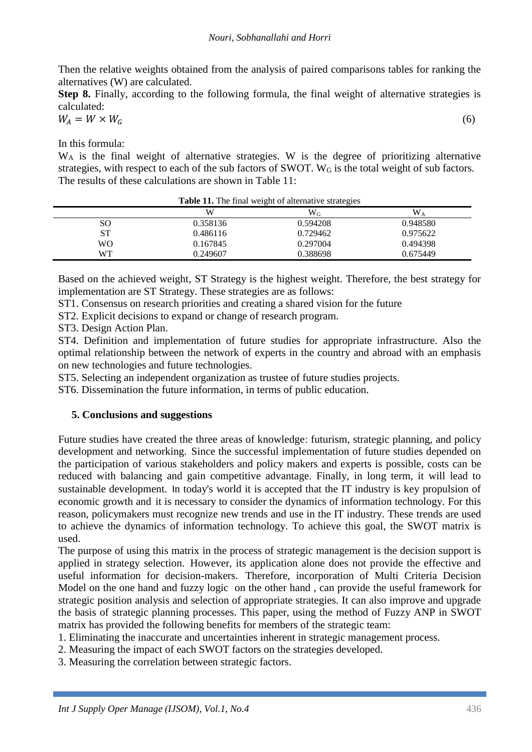#### *Nouri, Sobhanallahi and Horri*

Then the relative weights obtained from the analysis of paired comparisons tables for ranking the alternatives (W) are calculated.

**Step 8.** Finally, according to the following formula, the final weight of alternative strategies is calculated:

$$
W_A = W \times W_G \tag{6}
$$

In this formula:

W<sub>A</sub> is the final weight of alternative strategies. W is the degree of prioritizing alternative strategies, with respect to each of the sub factors of SWOT. W<sub>G</sub> is the total weight of sub factors. The results of these calculations are shown in Table 11:

| $\overline{1}$ and $\overline{2}$ are $\overline{1}$ and $\overline{1}$ are $\overline{1}$ and $\overline{1}$ are $\overline{1}$ and $\overline{1}$ are $\overline{1}$ |          |          |                |
|------------------------------------------------------------------------------------------------------------------------------------------------------------------------|----------|----------|----------------|
|                                                                                                                                                                        | W        | $W_G$    | W <sub>A</sub> |
| SO                                                                                                                                                                     | 0.358136 | 0.594208 | 0.948580       |
| <b>ST</b>                                                                                                                                                              | 0.486116 | 0.729462 | 0.975622       |
| WΟ                                                                                                                                                                     | 0.167845 | 0.297004 | 0.494398       |
| <b>WT</b>                                                                                                                                                              | 0.249607 | 0.388698 | 0.675449       |
|                                                                                                                                                                        |          |          |                |

**Table 11.** The final weight of alternative strategies

Based on the achieved weight, ST Strategy is the highest weight. Therefore, the best strategy for implementation are ST Strategy. These strategies are as follows:

ST1. Consensus on research priorities and creating a shared vision for the future

ST2. Explicit decisions to expand or change of research program.

ST3. Design Action Plan.

ST4. Definition and implementation of future studies for appropriate infrastructure. Also the optimal relationship between the network of experts in the country and abroad with an emphasis on new technologies and future technologies.

ST5. Selecting an independent organization as trustee of future studies projects.

ST6. Dissemination the future information, in terms of public education.

#### **5. Conclusions and suggestions**

Future studies have created the three areas of knowledge: futurism, strategic planning, and policy development and networking. Since the successful implementation of future studies depended on the participation of various stakeholders and policy makers and experts is possible, costs can be reduced with balancing and gain competitive advantage. Finally, in long term, it will lead to sustainable development. In today's world it is accepted that the IT industry is key propulsion of economic growth and it is necessary to consider the dynamics of information technology. For this reason, policymakers must recognize new trends and use in the IT industry. These trends are used to achieve the dynamics of information technology. To achieve this goal, the SWOT matrix is used.

The purpose of using this matrix in the process of strategic management is the decision support is applied in strategy selection. However, its application alone does not provide the effective and useful information for decision-makers. Therefore, incorporation of Multi Criteria Decision Model on the one hand and fuzzy logic on the other hand , can provide the useful framework for strategic position analysis and selection of appropriate strategies. It can also improve and upgrade the basis of strategic planning processes. This paper, using the method of Fuzzy ANP in SWOT matrix has provided the following benefits for members of the strategic team:

1. Eliminating the inaccurate and uncertainties inherent in strategic management process.

- 2. Measuring the impact of each SWOT factors on the strategies developed.
- 3. Measuring the correlation between strategic factors.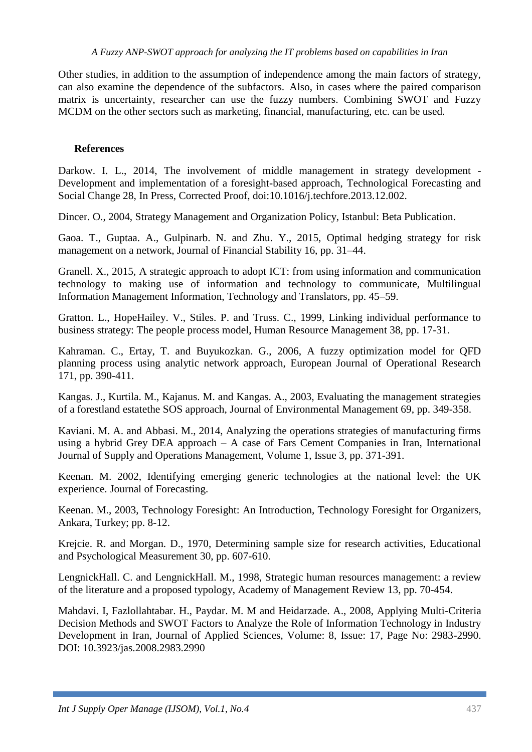#### *A Fuzzy ANP-SWOT approach for analyzing the IT problems based on capabilities in Iran*

Other studies, in addition to the assumption of independence among the main factors of strategy, can also examine the dependence of the subfactors. Also, in cases where the paired comparison matrix is uncertainty, researcher can use the fuzzy numbers. Combining SWOT and Fuzzy MCDM on the other sectors such as marketing, financial, manufacturing, etc. can be used.

#### **References**

Darkow. I. L., 2014, The involvement of middle management in strategy development - Development and implementation of a foresight-based approach, Technological Forecasting and Social Change 28, In Press, Corrected Proof, doi:10.1016/j.techfore.2013.12.002.

Dincer. O., 2004, Strategy Management and Organization Policy, Istanbul: Beta Publication.

Gaoa. T., Guptaa. A., Gulpinarb. N. and Zhu. Y., 2015, Optimal hedging strategy for risk management on a network, Journal of Financial Stability 16, pp. 31–44.

Granell. X., 2015, A strategic approach to adopt ICT: from using information and communication technology to making use of information and technology to communicate, Multilingual Information Management Information, Technology and Translators, pp. 45–59.

Gratton. L., HopeHailey. V., Stiles. P. and Truss. C., 1999, Linking individual performance to business strategy: The people process model, Human Resource Management 38, pp. 17-31.

Kahraman. C., Ertay, T. and Buyukozkan. G., 2006, A fuzzy optimization model for QFD planning process using analytic network approach, European Journal of Operational Research 171, pp. 390-411.

Kangas. J., Kurtila. M., Kajanus. M. and Kangas. A., 2003, Evaluating the management strategies of a forestland estatethe SOS approach, Journal of Environmental Management 69, pp. 349-358.

Kaviani. M. A. and Abbasi. M., 2014, Analyzing the operations strategies of manufacturing firms using a hybrid Grey DEA approach – A case of Fars Cement Companies in Iran, International Journal of Supply and Operations Management, Volume 1, Issue 3, pp. 371-391.

Keenan. M. 2002, Identifying emerging generic technologies at the national level: the UK experience. Journal of Forecasting.

Keenan. M., 2003, Technology Foresight: An Introduction, Technology Foresight for Organizers, Ankara, Turkey; pp. 8-12.

Krejcie. R. and Morgan. D., 1970, Determining sample size for research activities, Educational and Psychological Measurement 30, pp. 607-610.

LengnickHall. C. and LengnickHall. M., 1998, Strategic human resources management: a review of the literature and a proposed typology, Academy of Management Review 13, pp. 70-454.

Mahdavi. I, Fazlollahtabar. H., Paydar. M. M and Heidarzade. A., 2008, Applying Multi-Criteria Decision Methods and SWOT Factors to Analyze the Role of Information Technology in Industry Development in Iran, Journal of Applied Sciences, Volume: 8, Issue: 17, Page No: 2983-2990. DOI: 10.3923/jas.2008.2983.2990